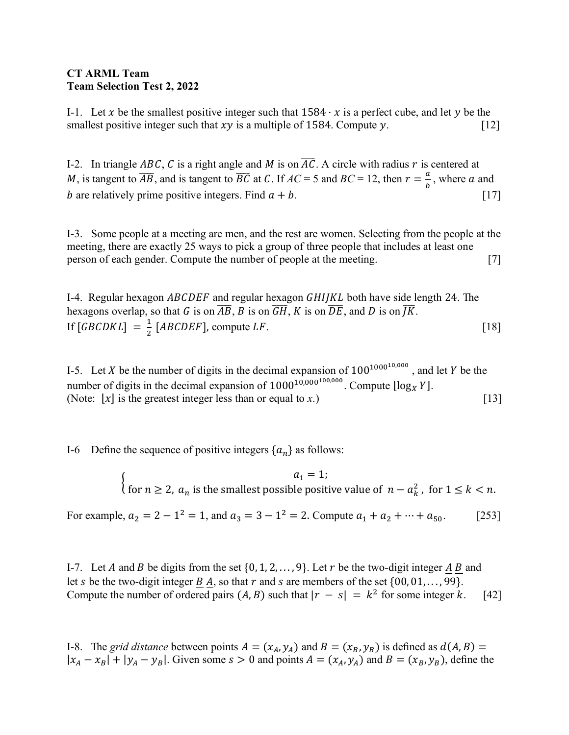## **CT ARML Team Team Selection Test 2, 2022**

I-1. Let x be the smallest positive integer such that  $1584 \cdot x$  is a perfect cube, and let y be the smallest positive integer such that  $xy$  is a multiple of 1584. Compute  $y$ . [12]

I-2. In triangle ABC, C is a right angle and M is on  $\overline{AC}$ . A circle with radius r is centered at *M*, is tangent to  $\overline{AB}$ , and is tangent to  $\overline{BC}$  at C. If  $AC = 5$  and  $BC = 12$ , then  $r = \frac{a}{b}$ , where a and b are relatively prime positive integers. Find  $a + b$ . [17]

I-3. Some people at a meeting are men, and the rest are women. Selecting from the people at the meeting, there are exactly 25 ways to pick a group of three people that includes at least one person of each gender. Compute the number of people at the meeting. [7]

I-4. Regular hexagon  $ABCDEF$  and regular hexagon  $GHI/KL$  both have side length 24. The hexagons overlap, so that G is on  $\overline{AB}$ , B is on  $\overline{GH}$ , K is on  $\overline{DE}$ , and D is on  $\overline{JK}$ . If  $[GBCDKL] = \frac{1}{2} [ABCDEF]$ , compute LF. [18]

I-5. Let X be the number of digits in the decimal expansion of  $100^{1000^{10,000}}$ , and let Y be the number of digits in the decimal expansion of  $1000^{10,000^{100,000}}$ . Compute  $\log_{X} Y$ . (Note:  $\lfloor x \rfloor$  is the greatest integer less than or equal to *x*.) [13]

I-6 Define the sequence of positive integers  $\{a_n\}$  as follows:

$$
\begin{cases}\n a_1 = 1; \\
\text{for } n \ge 2, \ a_n \text{ is the smallest possible positive value of } n - a_k^2, \text{ for } 1 \le k < n.\n\end{cases}
$$

For example,  $a_2 = 2 - 1^2 = 1$ , and  $a_3 = 3 - 1^2 = 2$ . Compute  $a_1 + a_2 + \cdots + a_{50}$ . [253]

I-7. Let A and B be digits from the set  $\{0, 1, 2, \ldots, 9\}$ . Let r be the two-digit integer A B and let s be the two-digit integer  $B$  A, so that  $r$  and  $s$  are members of the set  $\{00, 01, \ldots, 99\}$ . Compute the number of ordered pairs  $(A, B)$  such that  $|r - s| = k^2$  for some integer k. [42]

I-8. The *grid distance* between points  $A = (x_A, y_A)$  and  $B = (x_B, y_B)$  is defined as  $d(A, B) =$  $|x_A - x_B| + |y_A - y_B|$ . Given some  $s > 0$  and points  $A = (x_A, y_A)$  and  $B = (x_B, y_B)$ , define the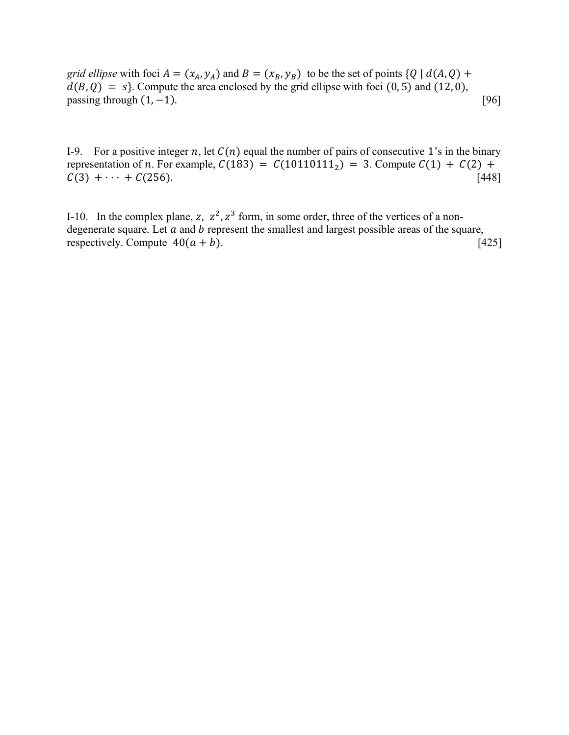*grid ellipse* with foci  $A = (x_A, y_A)$  and  $B = (x_B, y_B)$  to be the set of points  $\{Q \mid d(A, Q)$  +  $d(B, Q) = s$ . Compute the area enclosed by the grid ellipse with foci (0, 5) and (12, 0), passing through  $(1, -1)$ . [96]

I-9. For a positive integer n, let  $C(n)$  equal the number of pairs of consecutive 1's in the binary representation of *n*. For example,  $C(183) = C(10110111_2) = 3$ . Compute  $C(1) + C(2) + C(3) + \cdots + C(256)$ . [448]  $C(3) + \cdots + C(256)$ .

I-10. In the complex plane, z,  $z^2$ ,  $z^3$  form, in some order, three of the vertices of a nondegenerate square. Let  $\alpha$  and  $\beta$  represent the smallest and largest possible areas of the square, respectively. Compute  $40(a + b)$ . [425]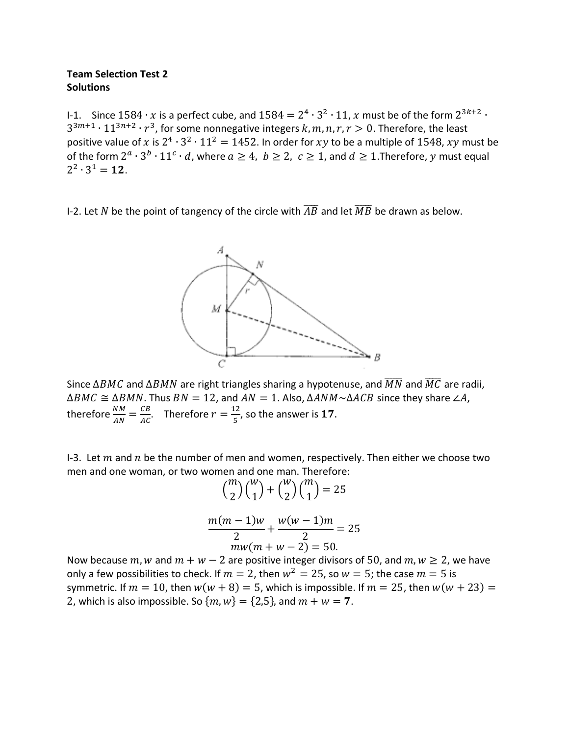### **Team Selection Test 2 Solutions**

I-1. Since  $1584 \cdot x$  is a perfect cube, and  $1584 = 2^4 \cdot 3^2 \cdot 11$ , x must be of the form  $2^{3k+2} \cdot$  $3^{3m+1} \cdot 11^{3n+2} \cdot r^3$ , for some nonnegative integers k, m, n, r, r > 0. Therefore, the least positive value of x is  $2^4 \cdot 3^2 \cdot 11^2 = 1452$ . In order for xy to be a multiple of 1548, xy must be of the form  $2^a \cdot 3^b \cdot 11^c \cdot d$ , where  $a \ge 4$ ,  $b \ge 2$ ,  $c \ge 1$ , and  $d \ge 1$ . Therefore, y must equal  $2^2 \cdot 3^1 = 12$ .

I-2. Let N be the point of tangency of the circle with  $\overline{AB}$  and let  $\overline{MB}$  be drawn as below.



Since  $\Delta BMC$  and  $\Delta BMN$  are right triangles sharing a hypotenuse, and  $\overline{MN}$  and  $\overline{MC}$  are radii,  $\triangle BMC \cong \triangle BMN$ . Thus  $BN = 12$ , and  $AN = 1$ . Also,  $\triangle AMM \sim \triangle ACB$  since they share  $\angle A$ , therefore  $\frac{NM}{AN} = \frac{CB}{AC}$ . Therefore  $r = \frac{12}{5}$ , so the answer is 17.

I-3. Let  $m$  and  $n$  be the number of men and women, respectively. Then either we choose two men and one woman, or two women and one man. Therefore:

$$
{\binom{m}{2}} {\binom{w}{1}} + {\binom{w}{2}} {\binom{m}{1}} = 25
$$

$$
\frac{m(m-1)w}{2} + \frac{w(w-1)m}{2} = 25
$$
  

$$
mw(m+w-2) = 50.
$$

Now because  $m$ , w and  $m + w - 2$  are positive integer divisors of 50, and  $m$ ,  $w \ge 2$ , we have only a few possibilities to check. If  $m = 2$ , then  $w^2 = 25$ , so  $w = 5$ ; the case  $m = 5$  is symmetric. If  $m = 10$ , then  $w(w + 8) = 5$ , which is impossible. If  $m = 25$ , then  $w(w + 23) =$ 2, which is also impossible. So  $\{m, w\} = \{2, 5\}$ , and  $m + w = 7$ .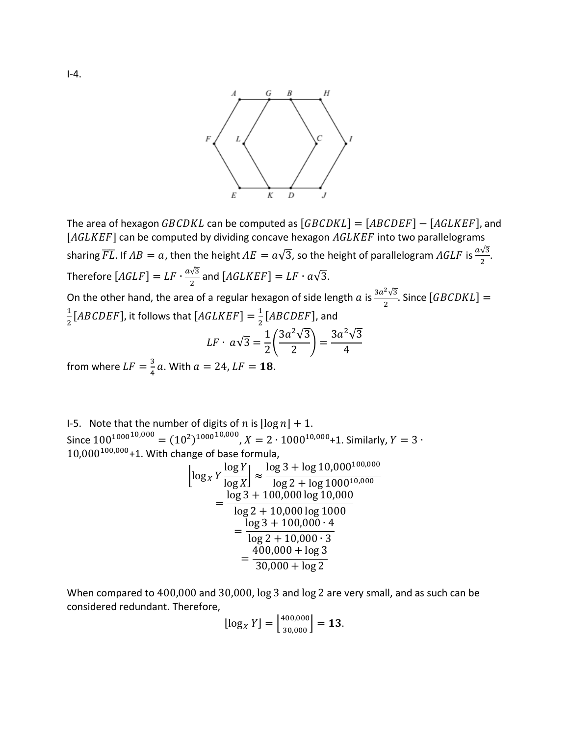

The area of hexagon  $GBCDKL$  can be computed as  $[GBCDKL] = [ABCDEF] - [AGLKEF]$ , and  $[AGLKEF]$  can be computed by dividing concave hexagon  $AGLKEF$  into two parallelograms sharing  $\overline{FL}$ . If  $AB = a$ , then the height  $AE = a\sqrt{3}$ , so the height of parallelogram  $AGLF$  is  $\frac{a\sqrt{3}}{2}$ . Therefore  $[AGLF] = LF \cdot \frac{a\sqrt{3}}{2}$  $\frac{\sqrt{3}}{2}$  and  $[AGLKEF] = LF \cdot a\sqrt{3}$ .

On the other hand, the area of a regular hexagon of side length  $a$  is  $\frac{3a^2\sqrt{3}}{2}$ . Since  $[GBCDKL]=$  $\frac{1}{2}[ABCDEF]$ , it follows that  $[AGLKEF] = \frac{1}{2}[ABCDEF]$ , and  $LF \cdot a\sqrt{3} = \frac{1}{2}$  $\left(\frac{3a^2\sqrt{3}}{2}\right) = \frac{3a^2\sqrt{3}}{4}$ 

from where  $LF = \frac{3}{4}a$ . With  $a = 24$ ,  $LF = 18$ .

I-5. Note that the number of digits of *n* is  $\lfloor \log n \rfloor + 1$ . Since  $100^{1000}^{10,000} = (10^2)^{1000}^{10,000}$ ,  $X = 2 \cdot 1000^{10,000}$ +1. Similarly,  $Y = 3 \cdot$  $10,000^{100,000}$ +1. With change of base formula,

$$
\left[\log_{X} Y \frac{\log Y}{\log X}\right] \approx \frac{\log 3 + \log 10,000^{100,000}}{\log 2 + \log 1000^{10,000}} = \frac{\log 3 + 100,000 \log 10,000}{\log 2 + 10,000 \log 1000} = \frac{\log 3 + 100,000 \cdot 4}{\log 2 + 10,000 \cdot 3} = \frac{400,000 + \log 3}{30,000 + \log 2}
$$

When compared to 400,000 and 30,000, log 3 and log 2 are very small, and as such can be considered redundant. Therefore,

$$
\lfloor \log_X Y \rfloor = \left\lfloor \frac{400,000}{30,000} \right\rfloor = 13.
$$

 $I-4.$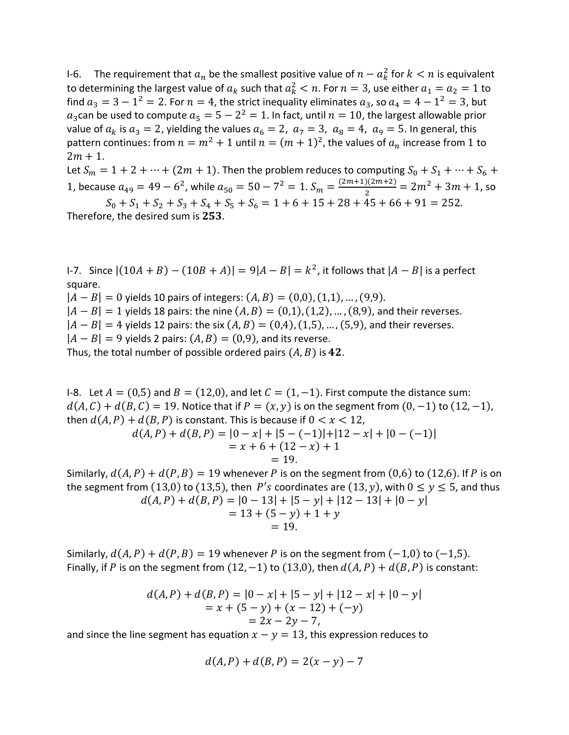I-6. The requirement that  $a_n$  be the smallest positive value of  $n - a_k^2$  for  $k < n$  is equivalent to determining the largest value of  $a_k$  such that  $a_k^2 < n$ . For  $n = 3$ , use either  $a_1 = a_2 = 1$  to find  $a_3 = 3 - 1^2 = 2$ . For  $n = 4$ , the strict inequality eliminates  $a_3$ , so  $a_4 = 4 - 1^2 = 3$ , but  $a_3$ can be used to compute  $a_5 = 5 - 2^2 = 1$ . In fact, until  $n = 10$ , the largest allowable prior value of  $a_k$  is  $a_3 = 2$ , yielding the values  $a_6 = 2$ ,  $a_7 = 3$ ,  $a_8 = 4$ ,  $a_9 = 5$ . In general, this pattern continues: from  $n = m^2 + 1$  until  $n = (m + 1)^2$ , the values of  $a_n$  increase from 1 to  $2m + 1$ .

Let  $S_m = 1 + 2 + \dots + (2m + 1)$ . Then the problem reduces to computing  $S_0 + S_1 + \dots + S_6 +$ 1, because  $a_{49} = 49 - 6^2$ , while  $a_{50} = 50 - 7^2 = 1$ .  $S_m = \frac{(2m+1)(2m+2)}{2} = 2m^2 + 3m + 1$ , so  $S_0 + S_1 + S_2 + S_3 + S_4 + S_5 + S_6 = 1 + 6 + 15 + 28 + 45 + 66 + 91 = 252.$ Therefore, the desired sum is  $253$ .

I-7. Since  $|(10A + B) - (10B + A)| = 9|A - B| = k^2$ , it follows that  $|A - B|$  is a perfect square.

 $|A - B| = 0$  yields 10 pairs of integers:  $(A, B) = (0, 0), (1, 1), ..., (9, 9)$ .  $|A - B| = 1$  yields 18 pairs: the nine  $(A, B) = (0,1), (1,2), ..., (8,9)$ , and their reverses.  $|A - B| = 4$  yields 12 pairs: the six  $(A, B) = (0, 4)$ ,  $(1, 5)$ , ...,  $(5, 9)$ , and their reverses.  $|A - B| = 9$  yields 2 pairs:  $(A, B) = (0, 9)$ , and its reverse. Thus, the total number of possible ordered pairs  $(A, B)$  is 42.

I-8. Let  $A = (0,5)$  and  $B = (12,0)$ , and let  $C = (1,−1)$ . First compute the distance sum:  $d(A, C) + d(B, C) = 19$ . Notice that if  $P = (x, y)$  is on the segment from  $(0, -1)$  to  $(12, -1)$ , then  $d(A, P) + d(B, P)$  is constant. This is because if  $0 < x < 12$ ,

$$
d(A, P) + d(B, P) = |0 - x| + |5 - (-1)| + |12 - x| + |0 - (-1)|
$$
  
= x + 6 + (12 - x) + 1  
= 19.

Similarly,  $d(A, P) + d(P, B) = 19$  whenever P is on the segment from (0,6) to (12,6). If P is on the segment from (13,0) to (13,5), then P's coordinates are (13, y), with  $0 \le y \le 5$ , and thus  $d(A, P) + d(B, P) = |0 - 13| + |5 - y| + |12 - 13| + |0 - y|$ 

$$
= 13 + (5 - y) + 1 + y
$$
  
= 19.

Similarly,  $d(A, P) + d(P, B) = 19$  whenever P is on the segment from  $(-1, 0)$  to  $(-1, 5)$ . Finally, if P is on the segment from  $(12, -1)$  to  $(13, 0)$ , then  $d(A, P) + d(B, P)$  is constant:

$$
d(A, P) + d(B, P) = |0 - x| + |5 - y| + |12 - x| + |0 - y|
$$
  
= x + (5 - y) + (x - 12) + (-y)  
= 2x - 2y - 7,

and since the line segment has equation  $x - y = 13$ , this expression reduces to

$$
d(A, P) + d(B, P) = 2(x - y) - 7
$$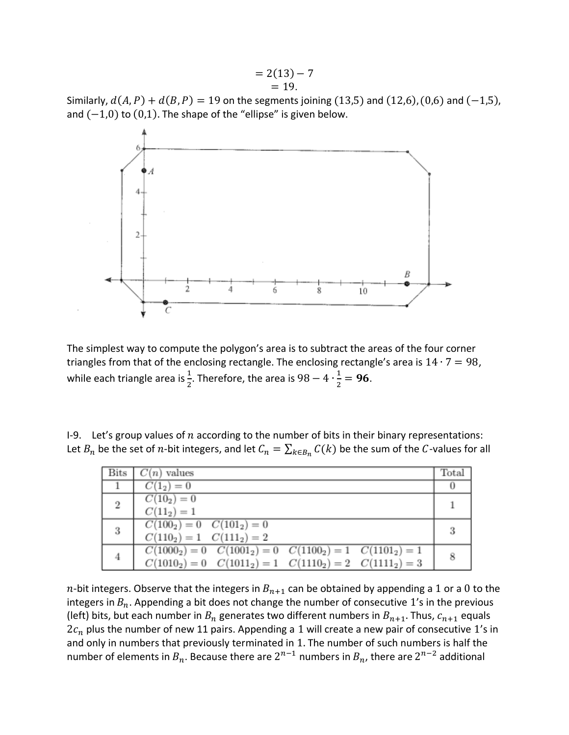Similarly,  $d(A, P) + d(B, P) = 19$  on the segments joining (13,5) and (12,6), (0,6) and (-1,5), and  $(-1,0)$  to  $(0,1)$ . The shape of the "ellipse" is given below.



The simplest way to compute the polygon's area is to subtract the areas of the four corner triangles from that of the enclosing rectangle. The enclosing rectangle's area is  $14 \cdot 7 = 98$ , while each triangle area is  $\frac{1}{2}$ . Therefore, the area is 98  $-$  4  $\cdot \frac{1}{2}$  = 96.

I-9. Let's group values of  $n$  according to the number of bits in their binary representations: Let  $B_n$  be the set of *n*-bit integers, and let  $C_n = \sum_{k \in B_n} C(k)$  be the sum of the C-values for all

|                | Bits $\mid C(n)$ values                                         | Total    |
|----------------|-----------------------------------------------------------------|----------|
|                | $C(1_2)=0$                                                      | $\theta$ |
| $\overline{2}$ | $C(10_2)=0$                                                     |          |
|                | $C(11_2) = 1$                                                   |          |
| 3              | $C(100_2) = 0$ $C(101_2) = 0$                                   | -3       |
|                | $C(110_2) = 1$ $C(111_2) = 2$                                   |          |
| 4              | $C(1000_2) = 0$ $C(1001_2) = 0$ $C(1100_2) = 1$ $C(1101_2) = 1$ | 8        |
|                | $C(1010_2) = 0$ $C(1011_2) = 1$ $C(1110_2) = 2$ $C(1111_2) = 3$ |          |

*n*-bit integers. Observe that the integers in  $B_{n+1}$  can be obtained by appending a 1 or a 0 to the integers in  $B_n$ . Appending a bit does not change the number of consecutive 1's in the previous (left) bits, but each number in  $B_n$  generates two different numbers in  $B_{n+1}$ . Thus,  $c_{n+1}$  equals  $2c_n$  plus the number of new 11 pairs. Appending a 1 will create a new pair of consecutive 1's in and only in numbers that previously terminated in 1. The number of such numbers is half the number of elements in  $B_n$ . Because there are  $2^{n-1}$  numbers in  $B_n$ , there are  $2^{n-2}$  additional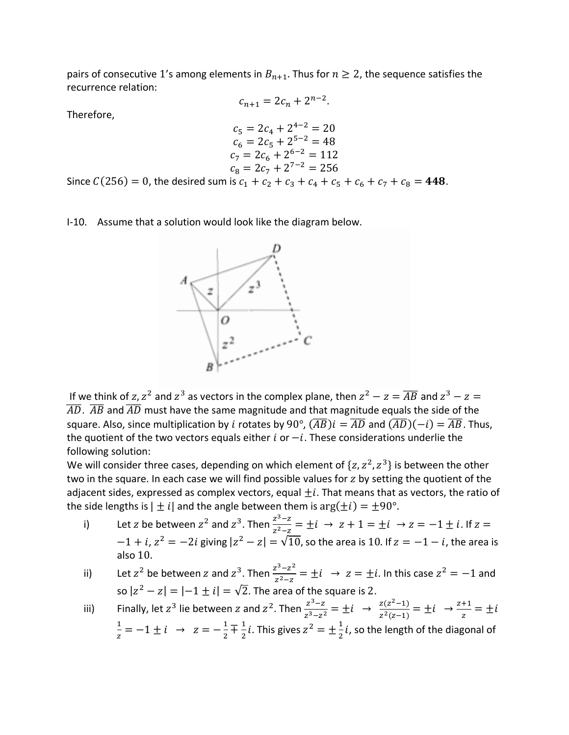pairs of consecutive 1's among elements in  $B_{n+1}$ . Thus for  $n \geq 2$ , the sequence satisfies the recurrence relation:  $c_{n+1} = 2c_n + 2^{n-2}.$ 

**Therefore** 

$$
c_5 = 2c_4 + 2^{4-2} = 20
$$
  
\n
$$
c_6 = 2c_5 + 2^{5-2} = 48
$$
  
\n
$$
c_7 = 2c_6 + 2^{6-2} = 112
$$
  
\n
$$
c_8 = 2c_7 + 2^{7-2} = 256
$$
  
\nSince  $C(256) = 0$ , the desired sum is  $c_1 + c_2 + c_3 + c_4 + c_5 + c_6 + c_7 + c_8 = 448$ .

I-10. Assume that a solution would look like the diagram below.



If we think of  $z, z^2$  and  $z^3$  as vectors in the complex plane, then  $z^2 - z = \overline{AB}$  and  $z^3 - z =$  $\overline{AD}$ .  $\overline{AB}$  and  $\overline{AD}$  must have the same magnitude and that magnitude equals the side of the square. Also, since multiplication by *i* rotates by 90°,  $(\overline{AB})i = \overline{AD}$  and  $(\overline{AD})(-i) = \overline{AB}$ . Thus, the quotient of the two vectors equals either  $i$  or  $-i$ . These considerations underlie the following solution:

We will consider three cases, depending on which element of  $\{z, z^2, z^3\}$  is between the other two in the square. In each case we will find possible values for  $z$  by setting the quotient of the adjacent sides, expressed as complex vectors, equal  $\pm i$ . That means that as vectors, the ratio of the side lengths is  $|\pm i|$  and the angle between them is  $\arg(\pm i) = \pm 90^{\circ}$ .

- i) Let *z* be between  $z^2$  and  $z^3$ . Then  $\frac{z^3-z}{z^2-z} = \pm i \rightarrow z + 1 = \pm i \rightarrow z = -1 \pm i$ . If  $z =$  $-1 + i$ ,  $z^2 = -2i$  giving  $|z^2 - z| = \sqrt{10}$ , so the area is 10. If  $z = -1 - i$ , the area is also 10.
- ii) Let  $z^2$  be between  $z$  and  $z^3$ . Then  $\frac{z^3-z^2}{z^2-z} = \pm i \rightarrow z = \pm i$ . In this case  $z^2 = -1$  and so  $|z^2 - z| = |-1 \pm i| = \sqrt{2}$ . The area of the square is 2.

iii) Finally, let 
$$
z^3
$$
 lie between z and  $z^2$ . Then  $\frac{z^{3}-z}{z^{3}-z^{2}} = \pm i \rightarrow \frac{z(z^{2}-1)}{z^{2}(z-1)} = \pm i \rightarrow \frac{z+1}{z} = \pm i$   
 $\frac{1}{z} = -1 \pm i \rightarrow z = -\frac{1}{2} \mp \frac{1}{2}i$ . This gives  $z^2 = \pm \frac{1}{2}i$ , so the length of the diagonal of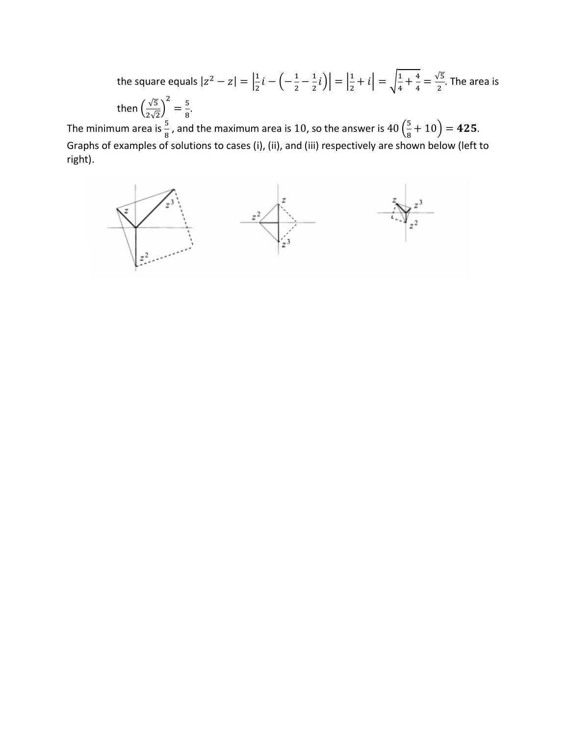the square equals  $|z^2 - z| = \frac{1}{2}$  $\frac{1}{2}i - \left(-\frac{1}{2} - \frac{1}{2}i\right)\right| = \left|\frac{1}{2}\right|$  $\left|\frac{1}{2}+i\right| = \sqrt{\frac{1}{4} + \frac{4}{4}} = \frac{\sqrt{5}}{2}$ . The area is then  $\left(\frac{\sqrt{5}}{2\sqrt{2}}\right)$  $\frac{2}{3} = \frac{5}{8}.$ 

The minimum area is  $\frac{5}{8}$  , and the maximum area is 10, so the answer is  $40\left(\frac{5}{8}\right)$  $\frac{3}{8} + 10 = 425.$ Graphs of examples of solutions to cases (i), (ii), and (iii) respectively are shown below (left to right).

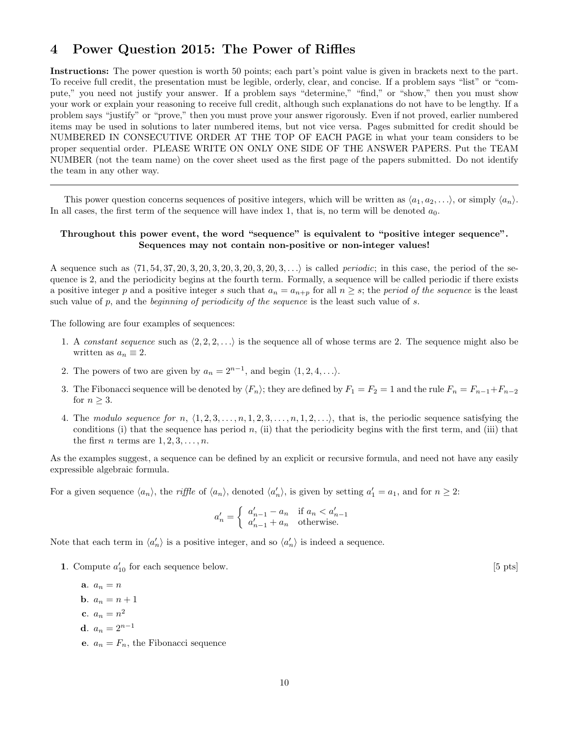# 4 Power Question 2015: The Power of Riffles

Instructions: The power question is worth 50 points; each part's point value is given in brackets next to the part. To receive full credit, the presentation must be legible, orderly, clear, and concise. If a problem says "list" or "compute," you need not justify your answer. If a problem says "determine," "find," or "show," then you must show your work or explain your reasoning to receive full credit, although such explanations do not have to be lengthy. If a problem says "justify" or "prove," then you must prove your answer rigorously. Even if not proved, earlier numbered items may be used in solutions to later numbered items, but not vice versa. Pages submitted for credit should be NUMBERED IN CONSECUTIVE ORDER AT THE TOP OF EACH PAGE in what your team considers to be proper sequential order. PLEASE WRITE ON ONLY ONE SIDE OF THE ANSWER PAPERS. Put the TEAM NUMBER (not the team name) on the cover sheet used as the first page of the papers submitted. Do not identify the team in any other way.

This power question concerns sequences of positive integers, which will be written as  $\langle a_1, a_2, \ldots \rangle$ , or simply  $\langle a_n \rangle$ . In all cases, the first term of the sequence will have index 1, that is, no term will be denoted  $a_0$ .

#### Throughout this power event, the word "sequence" is equivalent to "positive integer sequence". Sequences may not contain non-positive or non-integer values!

A sequence such as  $\langle 71, 54, 37, 20, 3, 20, 3, 20, 3, 20, 3, 20, 3, \ldots \rangle$  is called *periodic*; in this case, the period of the sequence is 2, and the periodicity begins at the fourth term. Formally, a sequence will be called periodic if there exists a positive integer p and a positive integer s such that  $a_n = a_{n+p}$  for all  $n \geq s$ ; the period of the sequence is the least such value of *p*, and the *beginning of periodicity of the sequence* is the least such value of *s*.

The following are four examples of sequences:

- 1. A *constant sequence* such as  $\langle 2, 2, 2, \ldots \rangle$  is the sequence all of whose terms are 2. The sequence might also be written as  $a_n \equiv 2$ .
- 2. The powers of two are given by  $a_n = 2^{n-1}$ , and begin  $\langle 1, 2, 4, \ldots \rangle$ .
- 3. The Fibonacci sequence will be denoted by  $\langle F_n \rangle$ ; they are defined by  $F_1 = F_2 = 1$  and the rule  $F_n = F_{n-1} + F_{n-2}$ for  $n > 3$ .
- 4. The *modulo sequence for n*,  $\langle 1, 2, 3, \ldots, n, 1, 2, 3, \ldots, n, 1, 2, \ldots \rangle$ , that is, the periodic sequence satisfying the conditions (i) that the sequence has period  $n$ , (ii) that the periodicity begins with the first term, and (iii) that the first *n* terms are  $1, 2, 3, \ldots, n$ .

As the examples suggest, a sequence can be defined by an explicit or recursive formula, and need not have any easily expressible algebraic formula.

For a given sequence  $\langle a_n \rangle$ , the *riffle* of  $\langle a_n \rangle$ , denoted  $\langle a'_n \rangle$ , is given by setting  $a'_1 = a_1$ , and for  $n \geq 2$ :

$$
a'_n = \begin{cases} a'_{n-1} - a_n & \text{if } a_n < a'_{n-1} \\ a'_{n-1} + a_n & \text{otherwise.} \end{cases}
$$

Note that each term in  $\langle a'_n \rangle$  is a positive integer, and so  $\langle a'_n \rangle$  is indeed a sequence.

1. Compute  $a'_{10}$  for each sequence below.  $[5 \text{ pts}]$ 

a.  $a_n = n$ **b**.  $a_n = n + 1$ c.  $a_n = n^2$ d.  $a_n = 2^{n-1}$ e.  $a_n = F_n$ , the Fibonacci sequence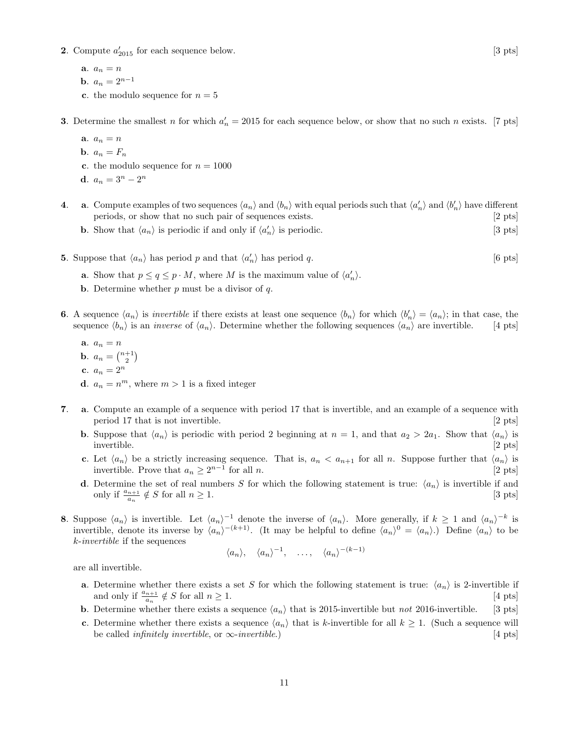- **2**. Compute  $a'_{2015}$  for each sequence below. [3 pts]
	- a.  $a_n = n$
	- **b**.  $a_n = 2^{n-1}$
	- c. the modulo sequence for  $n = 5$

**3**. Determine the smallest *n* for which  $a'_n = 2015$  for each sequence below, or show that no such *n* exists. [7 pts]

- a.  $a_n = n$
- **b**.  $a_n = F_n$
- c. the modulo sequence for  $n = 1000$
- d.  $a_n = 3^n 2^n$
- **4.** a. Compute examples of two sequences  $\langle a_n \rangle$  and  $\langle b_n \rangle$  with equal periods such that  $\langle a'_n \rangle$  and  $\langle b'_n \rangle$  have different periods, or show that no such pair of sequences exists. [2 pts]
	- **b.** Show that  $\langle a_n \rangle$  is periodic if and only if  $\langle a'_n \rangle$  is periodic. [3 pts]
- **5.** Suppose that  $\langle a_n \rangle$  has period *p* and that  $\langle a'_n \rangle$  has period *q*. [6 pts]
	- **a**. Show that  $p \le q \le p \cdot M$ , where *M* is the maximum value of  $\langle a'_n \rangle$ .
	- b. Determine whether *p* must be a divisor of *q*.
- **6.** A sequence  $\langle a_n \rangle$  is *invertible* if there exists at least one sequence  $\langle b_n \rangle$  for which  $\langle b'_n \rangle = \langle a_n \rangle$ ; in that case, the sequence  $\langle b_n \rangle$  is an *inverse* of  $\langle a_n \rangle$ . Determine whether the following sequences  $\langle a_n \rangle$  are invertible. [4 pts]
	- **a***.*  $a_n = n$ **b**.  $a_n = \binom{n+1}{2}$ c.  $a_n = 2^n$ **d**.  $a_n = n^m$ , where  $m > 1$  is a fixed integer
- 7. a. Compute an example of a sequence with period 17 that is invertible, and an example of a sequence with period 17 that is not invertible. [2 pts] [2 pts]
	- **b.** Suppose that  $\langle a_n \rangle$  is periodic with period 2 beginning at  $n = 1$ , and that  $a_2 > 2a_1$ . Show that  $\langle a_n \rangle$  is invertible. [2 pts] invertible. [2 pts]
	- c. Let  $\langle a_n \rangle$  be a strictly increasing sequence. That is,  $a_n < a_{n+1}$  for all *n*. Suppose further that  $\langle a_n \rangle$  is invertible. Prove that  $a_n \ge 2^{n-1}$  for all *n*. [2 pts] invertible. Prove that  $a_n \geq 2^{n-1}$  for all *n*.
	- **d**. Determine the set of real numbers *S* for which the following statement is true:  $\langle a_n \rangle$  is invertible if and only if  $\frac{a_{n+1}}{2} \notin S$  for all  $n \ge 1$ . [3 pts] only if  $\frac{a_{n+1}}{a_n} \notin S$  for all  $n \ge 1$ . [3 pts]
- **8.** Suppose  $\langle a_n \rangle$  is invertible. Let  $\langle a_n \rangle^{-1}$  denote the inverse of  $\langle a_n \rangle$ . More generally, if  $k \ge 1$  and  $\langle a_n \rangle^{-k}$  is invertible, denote its inverse by  $\langle a_n \rangle^{-(k+1)}$ . (It may be helpful to define  $\langle a_n \rangle^0 = \langle a_n \rangle$ .) Define  $\langle a_n \rangle$  to be *k*-*invertible* if the sequences

$$
\langle a_n \rangle
$$
,  $\langle a_n \rangle^{-1}$ , ...,  $\langle a_n \rangle^{-(k-1)}$ 

are all invertible.

- **a.** Determine whether there exists a set *S* for which the following statement is true:  $\langle a_n \rangle$  is 2-invertible if and only if  $\frac{a_{n+1}}{2} \notin S$  for all  $n \ge 1$ . [4 pts] and only if  $\frac{a_{n+1}}{a_n} \notin S$  for all  $n \ge 1$ . [4 pts]
- **b.** Determine whether there exists a sequence  $\langle a_n \rangle$  that is 2015-invertible but *not* 2016-invertible. [3 pts]
- c. Determine whether there exists a sequence  $\langle a_n \rangle$  that is *k*-invertible for all  $k \ge 1$ . (Such a sequence will be called *infinitely invertible*. or  $\infty$ -*invertible*.) [4 pts] be called *infinitely invertible*, or  $\infty$ -*invertible*.)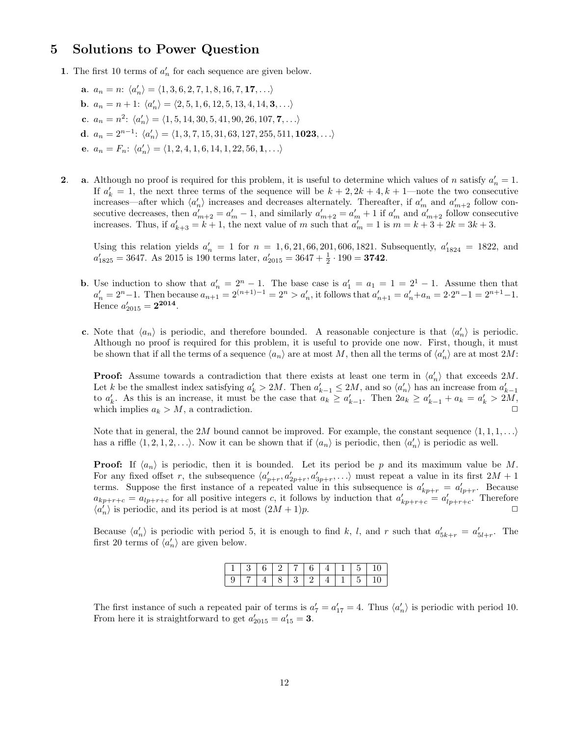## 5 Solutions to Power Question

- 1. The first 10 terms of  $a'_n$  for each sequence are given below.
	- a.  $a_n = n: \langle a'_n \rangle = \langle 1, 3, 6, 2, 7, 1, 8, 16, 7, 17, \ldots \rangle$ **b**.  $a_n = n + 1$ :  $\langle a'_n \rangle = \langle 2, 5, 1, 6, 12, 5, 13, 4, 14, 3, \ldots \rangle$ c.  $a_n = n^2$ :  $\langle a'_n \rangle = \langle 1, 5, 14, 30, 5, 41, 90, 26, 107, 7, \ldots \rangle$ d.  $a_n = 2^{n-1}$ :  $\langle a'_n \rangle = \langle 1, 3, 7, 15, 31, 63, 127, 255, 511, 1023, \ldots \rangle$ e.  $a_n = F_n: \langle a'_n \rangle = \langle 1, 2, 4, 1, 6, 14, 1, 22, 56, 1, \ldots \rangle$
- 2. **a**. Although no proof is required for this problem, it is useful to determine which values of *n* satisfy  $a'_n = 1$ . If  $a'_k = 1$ , the next three terms of the sequence will be  $k + 2$ ,  $2k + 4$ ,  $k + 1$ —note the two consecutive increases—after which  $\langle a'_n \rangle$  increases and decreases alternately. Thereafter, if  $a'_m$  and  $a'_{m+2}$  follow consecutive decreases, then  $a'_{m+2} = a'_m - 1$ , and similarly  $a'_{m+2} = a'_m + 1$  if  $a'_m$  and  $a'_{m+2}$  follow consecutive increases. Thus, if  $a'_{k+3} = k+1$ , the next value of *m* such that  $a'_m = 1$  is  $m = k+3+2k = 3k+3$ .

Using this relation yields  $a'_n = 1$  for  $n = 1, 6, 21, 66, 201, 606, 1821$ . Subsequently,  $a'_{1824} = 1822$ , and  $a'_{1825} = 3647$ . As 2015 is 190 terms later,  $a'_{2015} = 3647 + \frac{1}{2} \cdot 190 = 3742$ .

- **b.** Use induction to show that  $a'_n = 2^n 1$ . The base case is  $a'_1 = a_1 = 1 = 2^1 1$ . Assume then that  $a'_n = 2^n - 1$ . Then because  $a_{n+1} = 2^{(n+1)-1} = 2^n > a'_n$ , it follows that  $a'_{n+1} = a'_n + a_n = 2 \cdot 2^n - 1 = 2^{n+1} - 1$ . Hence  $a'_{2015} = 2^{2014}$ .
- c. Note that  $\langle a_n \rangle$  is periodic, and therefore bounded. A reasonable conjecture is that  $\langle a'_n \rangle$  is periodic. Although no proof is required for this problem, it is useful to provide one now. First, though, it must be shown that if all the terms of a sequence  $\langle a_n \rangle$  are at most *M*, then all the terms of  $\langle a'_n \rangle$  are at most 2*M*:

**Proof:** Assume towards a contradiction that there exists at least one term in  $\langle a'_n \rangle$  that exceeds 2*M*. Let *k* be the smallest index satisfying  $a'_k > 2M$ . Then  $a'_{k-1} \leq 2M$ , and so  $\langle a'_n \rangle$  has an increase from  $a'_{k-1}$ to  $a'_k$ . As this is an increase, it must be the case that  $a_k \ge a'_{k-1}$ . Then  $2a_k \ge a'_{k-1} + a_k = a'_k > 2M$ , which implies  $a_k > M$ , a contradiction.

Note that in general, the 2*M* bound cannot be improved. For example, the constant sequence  $\langle 1, 1, 1, \ldots \rangle$ has a riffle  $\langle 1, 2, 1, 2, \ldots \rangle$ . Now it can be shown that if  $\langle a_n \rangle$  is periodic, then  $\langle a'_n \rangle$  is periodic as well.

**Proof:** If  $\langle a_n \rangle$  is periodic, then it is bounded. Let its period be *p* and its maximum value be *M*. For any fixed offset *r*, the subsequence  $\langle a'_{p+r}, a'_{2p+r}, a'_{3p+r}, \ldots \rangle$  must repeat a value in its first  $2M + 1$ terms. Suppose the first instance of a repeated value in this subsequence is  $a'_{kp+r} = a'_{lp+r}$ . Because  $a_{kp+r+c} = a_{lp+r+c}$  for all positive integers c, it follows by induction that  $a'_{kp+r+c} = a'_{lp+r+c}$ . Therefore  $\langle a'_n \rangle$  is periodic, and its period is at most  $(2M + 1)p$ .

Because  $\langle a'_n \rangle$  is periodic with period 5, it is enough to find *k*, *l*, and *r* such that  $a'_{5k+r} = a'_{5l+r}$ . The first 20 terms of  $\langle a'_n \rangle$  are given below.

|   |  |      |  |  | - J |
|---|--|------|--|--|-----|
| ◡ |  | - 9- |  |  |     |

The first instance of such a repeated pair of terms is  $a'_7 = a'_{17} = 4$ . Thus  $\langle a'_n \rangle$  is periodic with period 10. From here it is straightforward to get  $a'_{2015} = a'_{15} = 3$ .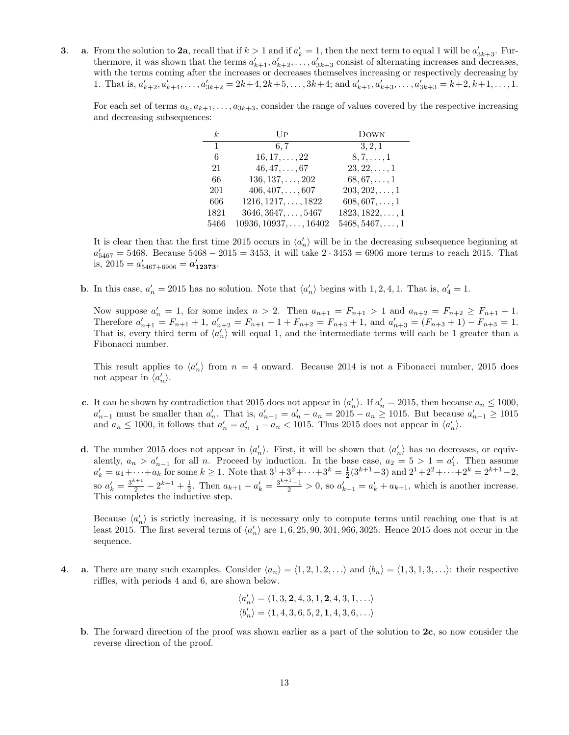**3**. **a**. From the solution to **2a**, recall that if  $k > 1$  and if  $a'_k = 1$ , then the next term to equal 1 will be  $a'_{3k+3}$ . Furthermore, it was shown that the terms  $a'_{k+1}, a'_{k+2}, \ldots, a'_{3k+3}$  consist of alternating increases and decreases, with the terms coming after the increases or decreases themselves increasing or respectively decreasing by 1. That is,  $a'_{k+2}, a'_{k+4}, \ldots, a'_{3k+2} = 2k+4, 2k+5, \ldots, 3k+4$ ; and  $a'_{k+1}, a'_{k+3}, \ldots, a'_{3k+3} = k+2, k+1, \ldots, 1$ .

For each set of terms  $a_k, a_{k+1}, \ldots, a_{3k+3}$ , consider the range of values covered by the respective increasing and decreasing subsequences:

| k              | UP                            | <b>DOWN</b>             |
|----------------|-------------------------------|-------------------------|
| $\overline{1}$ | 6.7                           | 3, 2, 1                 |
| 6              | $16, 17, \ldots, 22$          | $8, 7, \ldots, 1$       |
| 21             | $46, 47, \ldots, 67$          | $23, 22, \ldots, 1$     |
| 66             | $136, 137, \ldots, 202$       | $68, 67, \ldots, 1$     |
| 201            | $406, 407, \ldots, 607$       | $203, 202, \ldots, 1$   |
| 606            | $1216, 1217, \ldots, 1822$    | $608, 607, \ldots, 1$   |
| 1821           | $3646, 3647, \ldots, 5467$    | $1823, 1822, \ldots, 1$ |
| 5466           | $10936, 10937, \ldots, 16402$ | $5468, 5467, \ldots, 1$ |

It is clear then that the first time 2015 occurs in  $\langle a'_n \rangle$  will be in the decreasing subsequence beginning at  $a'_{5467} = 5468$ . Because  $5468 - 2015 = 3453$ , it will take  $2 \cdot 3453 = 6906$  more terms to reach 2015. That is,  $2015 = a'_{5467+6906} = a'_{12373}$ .

**b**. In this case,  $a'_n = 2015$  has no solution. Note that  $\langle a'_n \rangle$  begins with 1, 2, 4, 1. That is,  $a'_4 = 1$ .

Now suppose  $a'_n = 1$ , for some index  $n > 2$ . Then  $a_{n+1} = F_{n+1} > 1$  and  $a_{n+2} = F_{n+2} \ge F_{n+1} + 1$ . Therefore  $a'_{n+1} = F_{n+1} + 1$ ,  $a'_{n+2} = F_{n+1} + 1 + F_{n+2} = F_{n+3} + 1$ , and  $a'_{n+3} = (F_{n+3} + 1) - F_{n+3} = 1$ . That is, every third term of  $\langle a'_n \rangle$  will equal 1, and the intermediate terms will each be 1 greater than a Fibonacci number.

This result applies to  $\langle a'_n \rangle$  from  $n = 4$  onward. Because 2014 is not a Fibonacci number, 2015 does not appear in  $\langle a'_n \rangle$ .

- c. It can be shown by contradiction that 2015 does not appear in  $\langle a'_n \rangle$ . If  $a'_n = 2015$ , then because  $a_n \le 1000$ ,  $a'_{n-1}$  must be smaller than  $a'_n$ . That is,  $a'_{n-1} = a'_n - a_n = 2015 - a_n \ge 1015$ . But because  $a'_{n-1} \ge 1015$ and  $a_n \le 1000$ , it follows that  $a'_n = a'_{n-1} - a_n < 1015$ . Thus 2015 does not appear in  $\langle a'_n \rangle$ .
- d. The number 2015 does not appear in  $\langle a'_n \rangle$ . First, it will be shown that  $\langle a'_n \rangle$  has no decreases, or equivalently,  $a_n > a'_{n-1}$  for all *n*. Proceed by induction. In the base case,  $a_2 = 5 > 1 = a'_1$ . Then assume  $a'_k = a_1 + \cdots + a_k$  for some  $k \ge 1$ . Note that  $3^1 + 3^2 + \cdots + 3^k = \frac{1}{2}(3^{k+1}-3)$  and  $2^1 + 2^2 + \cdots + 2^k = 2^{k+1}-2$ , so  $a'_k = \frac{3^{k+1}}{2} - 2^{k+1} + \frac{1}{2}$ . Then  $a_{k+1} - a'_k = \frac{3^{k+1}-1}{2} > 0$ , so  $a'_{k+1} = a'_k + a_{k+1}$ , which is another increase. This completes the inductive step.

Because  $\langle a'_n \rangle$  is strictly increasing, it is necessary only to compute terms until reaching one that is at least 2015. The first several terms of  $\langle a'_n \rangle$  are  $1, 6, 25, 90, 301, 966, 3025$ . Hence 2015 does not occur in the sequence.

4. **a**. There are many such examples. Consider  $\langle a_n \rangle = \langle 1, 2, 1, 2, \ldots \rangle$  and  $\langle b_n \rangle = \langle 1, 3, 1, 3, \ldots \rangle$ : their respective riffles, with periods 4 and 6, are shown below.

$$
\langle a'_n \rangle = \langle 1, 3, 2, 4, 3, 1, 2, 4, 3, 1, \ldots \rangle
$$
  

$$
\langle b'_n \rangle = \langle 1, 4, 3, 6, 5, 2, 1, 4, 3, 6, \ldots \rangle
$$

b. The forward direction of the proof was shown earlier as a part of the solution to  $2c$ , so now consider the reverse direction of the proof.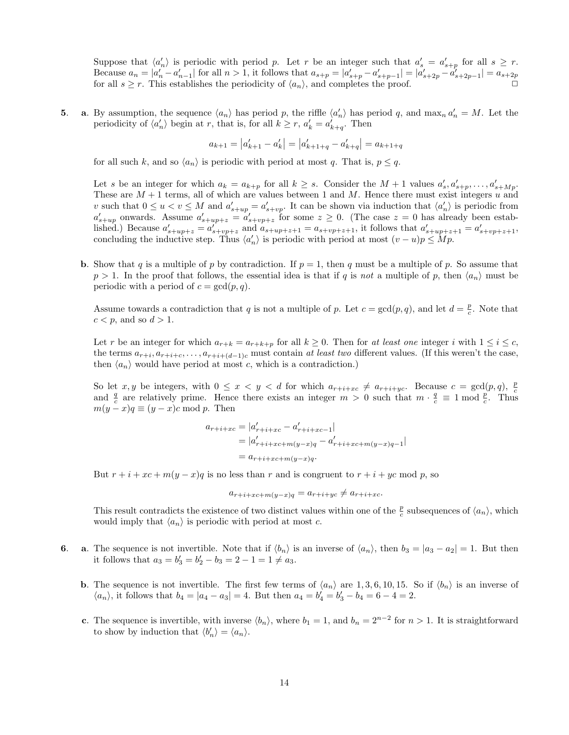Suppose that  $\langle a'_n \rangle$  is periodic with period *p*. Let *r* be an integer such that  $a'_s = a'_{s+p}$  for all  $s \geq r$ . Because  $a_n = |a'_n - a'_{n-1}|$  for all  $n > 1$ , it follows that  $a_{s+p} = |a'_{s+p} - a'_{s+p-1}| = |a'_{s+2p} - a'_{s+2p-1}| = a_{s+2p}$ for all  $s \geq r$ . This establishes the periodicity of  $\langle a_n \rangle$ , and completes the proof.

5. a. By assumption, the sequence  $\langle a_n \rangle$  has period *p*, the riffle  $\langle a'_n \rangle$  has period *q*, and max<sub>*n*</sub>  $a'_n = M$ . Let the periodicity of  $\langle a'_n \rangle$  begin at *r*, that is, for all  $k \ge r$ ,  $a'_k = a'_{k+q}$ . Then

$$
a_{k+1} = |a_{k+1}' - a_k'| = |a_{k+1+q}' - a_{k+q}'| = a_{k+1+q}
$$

for all such *k*, and so  $\langle a_n \rangle$  is periodic with period at most *q*. That is,  $p \leq q$ .

Let *s* be an integer for which  $a_k = a_{k+p}$  for all  $k \geq s$ . Consider the  $M+1$  values  $a'_s, a'_{s+p}, \ldots, a'_{s+Mp}$ . These are *M* + 1 terms, all of which are values between 1 and *M*. Hence there must exist integers *u* and *v* such that  $0 \le u < v \le M$  and  $a'_{s+up} = a'_{s+vp}$ . It can be shown via induction that  $\langle a'_n \rangle$  is periodic from  $a'_{s+up}$  onwards. Assume  $a'_{s+up+z} = a'_{s+vp+z}$  for some  $z \geq 0$ . (The case  $z = 0$  has already been established.) Because  $a'_{s+up+z} = a'_{s+vp+z}$  and  $a_{s+up+z+1} = a_{s+vp+z+1}$ , it follows that  $a'_{s+up+z+1} = a'_{s+vp+z+1}$ , concluding the inductive step. Thus  $\langle a'_n \rangle$  is periodic with period at most  $(v - u)p \leq Mp$ .

**b.** Show that *q* is a multiple of *p* by contradiction. If  $p = 1$ , then *q* must be a multiple of *p*. So assume that  $p > 1$ . In the proof that follows, the essential idea is that if *q* is *not* a multiple of *p*, then  $\langle a_n \rangle$  must be periodic with a period of  $c = \gcd(p, q)$ .

Assume towards a contradiction that *q* is not a multiple of *p*. Let  $c = \gcd(p, q)$ , and let  $d = \frac{p}{c}$ . Note that  $c < p$ , and so  $d > 1$ .

Let r be an integer for which  $a_{r+k} = a_{r+k+p}$  for all  $k \ge 0$ . Then for *at least one* integer *i* with  $1 \le i \le c$ , the terms  $a_{r+i}, a_{r+i+c}, \ldots, a_{r+i+(d-1)c}$  must contain *at least two* different values. (If this weren't the case, then  $\langle a_n \rangle$  would have period at most *c*, which is a contradiction.)

So let  $x, y$  be integers, with  $0 \le x < y < d$  for which  $a_{r+i+xc} \ne a_{r+i+yc}$ . Because  $c = \gcd(p,q)$ ,  $\frac{p}{c}$ and  $\frac{q}{c}$  are relatively prime. Hence there exists an integer  $m > 0$  such that  $m \cdot \frac{q}{c} \equiv 1 \mod \frac{p}{c}$ . Thus  $m(y-x)q \equiv (y-x)c \mod p$ . Then

$$
a_{r+i+xc} = |a'_{r+i+xc} - a'_{r+i+xc-1}|
$$
  
=  $|a'_{r+i+xc+m(y-x)q} - a'_{r+i+xc+m(y-x)q-1}|$   
=  $a_{r+i+xc+m(y-x)q}$ .

But  $r + i + xc + m(y - x)q$  is no less than *r* and is congruent to  $r + i + yc \mod p$ , so

$$
a_{r+i+xc+m(y-x)q} = a_{r+i+yc} \neq a_{r+i+xc}.
$$

This result contradicts the existence of two distinct values within one of the  $\frac{p}{c}$  subsequences of  $\langle a_n \rangle$ , which would imply that  $\langle a_n \rangle$  is periodic with period at most *c*.

- 6. a. The sequence is not invertible. Note that if  $\langle b_n \rangle$  is an inverse of  $\langle a_n \rangle$ , then  $b_3 = |a_3 a_2| = 1$ . But then it follows that  $a_3 = b'_3 = b'_2 - b_3 = 2 - 1 = 1 \neq a_3$ .
	- **b.** The sequence is not invertible. The first few terms of  $\langle a_n \rangle$  are 1, 3, 6, 10, 15. So if  $\langle b_n \rangle$  is an inverse of  $\langle a_n \rangle$ , it follows that  $b_4 = |a_4 - a_3| = 4$ . But then  $a_4 = b'_4 = b'_3 - b_4 = 6 - 4 = 2$ .
	- c. The sequence is invertible, with inverse  $\langle b_n \rangle$ , where  $b_1 = 1$ , and  $b_n = 2^{n-2}$  for  $n > 1$ . It is straightforward to show by induction that  $\langle b'_n \rangle = \langle a_n \rangle$ .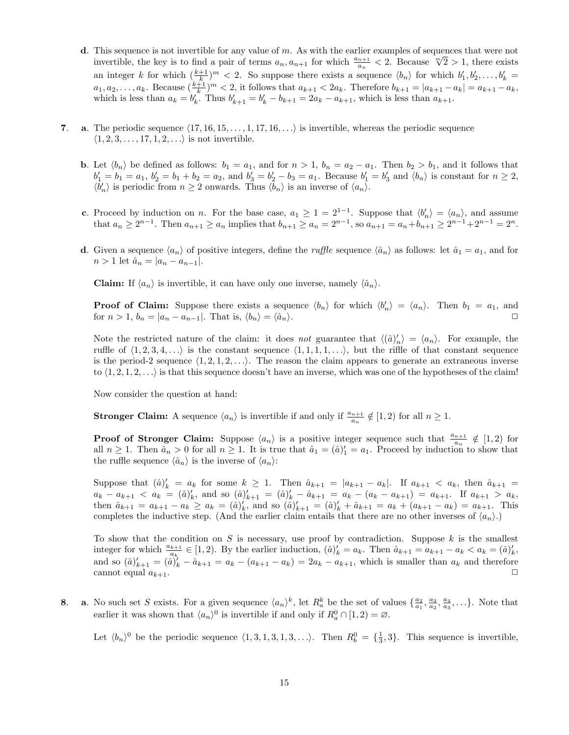- d. This sequence is not invertible for any value of *m*. As with the earlier examples of sequences that were not invertible, the key is to find a pair of terms  $a_n$ ,  $a_{n+1}$  for which  $\frac{a_{n+1}}{a_n} < 2$ . Because  $\sqrt[m]{2} > 1$ , there exists an integer *k* for which  $(\frac{k+1}{k})^m < 2$ . So suppose there exists a sequence  $\langle b_n \rangle$  for which  $b'_1, b'_2, \ldots, b'_k =$  $a_1, a_2, \ldots, a_k$ . Because  $(\frac{k+1}{k})^m < 2$ , it follows that  $a_{k+1} < 2a_k$ . Therefore  $b_{k+1} = |a_{k+1} - a_k| = a_{k+1} - a_k$ , which is less than  $a_k = b'_k$ . Thus  $b'_{k+1} = b'_k - b_{k+1} = 2a_k - a_{k+1}$ , which is less than  $a_{k+1}$ .
- 7. **a.** The periodic sequence  $\langle 17, 16, 15, \ldots, 1, 17, 16, \ldots \rangle$  is invertible, whereas the periodic sequence  $\langle 1, 2, 3, \ldots, 17, 1, 2, \ldots \rangle$  is not invertible.
	- **b.** Let  $\langle b_n \rangle$  be defined as follows:  $b_1 = a_1$ , and for  $n > 1$ ,  $b_n = a_2 a_1$ . Then  $b_2 > b_1$ , and it follows that  $b'_1 = b_1 = a_1, b'_2 = b_1 + b_2 = a_2$ , and  $b'_3 = b'_2 - b_3 = a_1$ . Because  $b'_1 = b'_3$  and  $\langle b_n \rangle$  is constant for  $n \ge 2$ ,  $\langle b'_n \rangle$  is periodic from  $n \geq 2$  onwards. Thus  $\langle b_n \rangle$  is an inverse of  $\langle a_n \rangle$ .
	- c. Proceed by induction on *n*. For the base case,  $a_1 \geq 1 = 2^{1-1}$ . Suppose that  $\langle b'_n \rangle = \langle a_n \rangle$ , and assume that  $a_n \geq 2^{n-1}$ . Then  $a_{n+1} \geq a_n$  implies that  $b_{n+1} \geq a_n = 2^{n-1}$ , so  $a_{n+1} = a_n + b_{n+1} \geq 2^{n-1} + 2^{n-1} = 2^n$ .
	- d. Given a sequence  $\langle a_n \rangle$  of positive integers, define the *ruffle* sequence  $\langle \hat{a}_n \rangle$  as follows: let  $\hat{a}_1 = a_1$ , and for  $n > 1$  let  $\hat{a}_n = |a_n - a_{n-1}|$ .

**Claim:** If  $\langle a_n \rangle$  is invertible, it can have only one inverse, namely  $\langle \hat{a}_n \rangle$ .

**Proof of Claim:** Suppose there exists a sequence  $\langle b_n \rangle$  for which  $\langle b'_n \rangle = \langle a_n \rangle$ . Then  $b_1 = a_1$ , and for  $n > 1$ ,  $b_n = |a_n - a_{n-1}|$ . That is,  $\langle b_n \rangle = \langle \hat{a}_n \rangle$ .

Note the restricted nature of the claim: it does *not* guarantee that  $\langle (\hat{a})'_n \rangle = \langle a_n \rangle$ . For example, the ruffle of  $\langle 1, 2, 3, 4, \ldots \rangle$  is the constant sequence  $\langle 1, 1, 1, 1, \ldots \rangle$ , but the riffle of that constant sequence is the period-2 sequence  $\langle 1, 2, 1, 2, \ldots \rangle$ . The reason the claim appears to generate an extraneous inverse to  $\langle 1, 2, 1, 2, \ldots \rangle$  is that this sequence doesn't have an inverse, which was one of the hypotheses of the claim!

Now consider the question at hand:

**Stronger Claim:** A sequence  $\langle a_n \rangle$  is invertible if and only if  $\frac{a_{n+1}}{a_n} \notin [1,2)$  for all  $n \geq 1$ .

**Proof of Stronger Claim:** Suppose  $\langle a_n \rangle$  is a positive integer sequence such that  $\frac{a_{n+1}}{a_n} \notin [1,2)$  for all  $n \ge 1$ . Then  $\hat{a}_n > 0$  for all  $n \ge 1$ . It is true that  $\hat{a}_1 = (\hat{a})'_1 = a_1$ . Proceed by induction to show that the ruffle sequence  $\langle \hat{a}_n \rangle$  is the inverse of  $\langle a_n \rangle$ :

Suppose that  $(\hat{a})'_k = a_k$  for some  $k \ge 1$ . Then  $\hat{a}_{k+1} = |a_{k+1} - a_k|$ . If  $a_{k+1} < a_k$ , then  $\hat{a}_{k+1} =$  $a_k - a_{k+1} < a_k = (\hat{a})'_k$ , and so  $(\hat{a})'_{k+1} = (\hat{a})'_k - \hat{a}_{k+1} = a_k - (a_k - a_{k+1}) = a_{k+1}$ . If  $a_{k+1} > a_k$ , then  $\hat{a}_{k+1} = a_{k+1} - a_k \ge a_k = (\hat{a})'_k$ , and so  $(\hat{a})'_{k+1} = (\hat{a})'_k + \hat{a}_{k+1} = a_k + (a_{k+1} - a_k) = a_{k+1}$ . This completes the inductive step. (And the earlier claim entails that there are no other inverses of  $\langle a_n \rangle$ .)

To show that the condition on *S* is necessary, use proof by contradiction. Suppose *k* is the smallest integer for which  $\frac{a_{k+1}}{a_k} \in [1,2)$ . By the earlier induction,  $(\hat{a})_k' = a_k$ . Then  $\hat{a}_{k+1} = a_{k+1} - a_k < a_k = (\hat{a})_k'$ , and so  $(\hat{a})'_{k+1} = (\hat{a})'_{k} - \hat{a}_{k+1} = a_k - (a_{k+1} - a_k) = 2a_k - a_{k+1}$ , which is smaller than  $a_k$  and therefore cannot equal  $a_{k+1}$ .

**8.** a. No such set S exists. For a given sequence  $\langle a_n \rangle^k$ , let  $R_a^k$  be the set of values  $\{\frac{a_2}{a_1}, \frac{a_3}{a_2}, \frac{a_4}{a_3}, \ldots\}$ . Note that earlier it was shown that  $\langle a_n \rangle^0$  is invertible if and only if  $R_a^0 \cap [1, 2) = \emptyset$ .

Let  $\langle b_n \rangle^0$  be the periodic sequence  $\langle 1,3,1,3,1,3,\ldots \rangle$ . Then  $R_b^0 = {\frac{1}{3}, 3}$ . This sequence is invertible,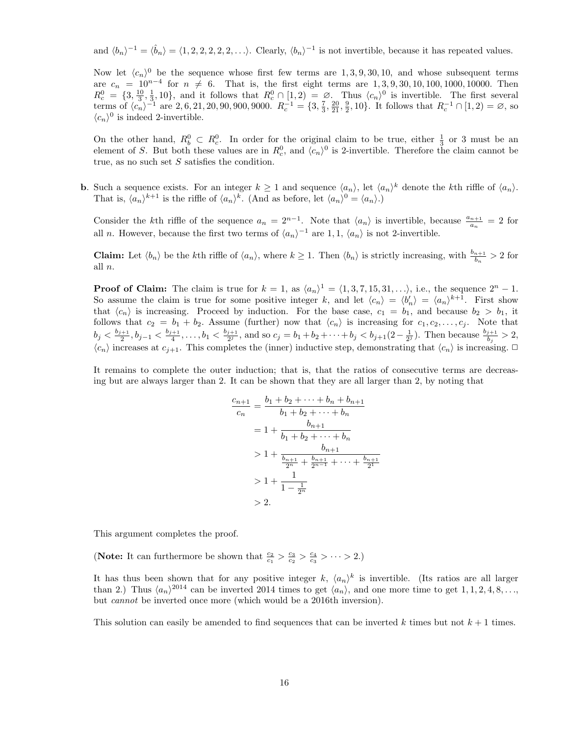and  $\langle b_n \rangle^{-1} = \langle \hat{b}_n \rangle = \langle 1, 2, 2, 2, 2, 2, \ldots \rangle$ . Clearly,  $\langle b_n \rangle^{-1}$  is not invertible, because it has repeated values.

Now let  $\langle c_n \rangle^0$  be the sequence whose first few terms are 1, 3, 9, 30, 10, and whose subsequent terms are  $c_n = 10^{n-4}$  for  $n \neq 6$ . That is, the first eight terms are 1, 3, 9, 30, 10, 100, 1000, 10000. Then  $R_c^0 = \{3, \frac{10}{3}, \frac{1}{3}, 10\}$ , and it follows that  $R_c^0 \cap [1, 2) = \emptyset$ . Thus  $\langle c_n \rangle^0$  is invertible. The first several terms of  $\langle c_n \rangle^{-1}$  are 2, 6, 21, 20, 90, 900, 9000.  $R_c^{-1} = \{3, \frac{7}{3}, \frac{20}{21}, \frac{9}{2}, 10\}$ . It follows that  $R_c^{-1} \cap [1, 2) = \emptyset$ , so  $\langle c_n \rangle^0$  is indeed 2-invertible.

On the other hand,  $R_b^0 \subset R_c^0$ . In order for the original claim to be true, either  $\frac{1}{3}$  or 3 must be an element of *S*. But both these values are in  $R_c^0$ , and  $\langle c_n \rangle^0$  is 2-invertible. Therefore the claim cannot be true, as no such set *S* satisfies the condition.

**b.** Such a sequence exists. For an integer  $k \ge 1$  and sequence  $\langle a_n \rangle$ , let  $\langle a_n \rangle^k$  denote the *k*th riffle of  $\langle a_n \rangle$ . That is,  $\langle a_n \rangle^{k+1}$  is the riffle of  $\langle a_n \rangle^k$ . (And as before, let  $\langle a_n \rangle^0 = \langle a_n \rangle$ .)

Consider the *k*th riffle of the sequence  $a_n = 2^{n-1}$ . Note that  $\langle a_n \rangle$  is invertible, because  $\frac{a_{n+1}}{a_n} = 2$  for all *n*. However, because the first two terms of  $\langle a_n \rangle^{-1}$  are 1, 1,  $\langle a_n \rangle$  is not 2-invertible.

**Claim:** Let  $\langle b_n \rangle$  be the *k*th riffle of  $\langle a_n \rangle$ , where  $k \ge 1$ . Then  $\langle b_n \rangle$  is strictly increasing, with  $\frac{b_{n+1}}{b_n} > 2$  for all *n*.

**Proof of Claim:** The claim is true for  $k = 1$ , as  $\langle a_n \rangle^1 = \langle 1, 3, 7, 15, 31, \ldots \rangle$ , i.e., the sequence  $2^n - 1$ . So assume the claim is true for some positive integer *k*, and let  $\langle c_n \rangle = \langle b'_n \rangle = \langle a_n \rangle^{k+1}$ . First show that  $\langle c_n \rangle$  is increasing. Proceed by induction. For the base case,  $c_1 = b_1$ , and because  $b_2 > b_1$ , it follows that  $c_2 = b_1 + b_2$ . Assume (further) now that  $\langle c_n \rangle$  is increasing for  $c_1, c_2, \ldots, c_j$ . Note that  $b_j < \frac{b_{j+1}}{2}$ ,  $b_{j-1} < \frac{b_{j+1}}{4}$ , ...,  $b_1 < \frac{b_{j+1}}{2^j}$ , and so  $c_j = b_1 + b_2 + \cdots + b_j < b_{j+1}(2-\frac{1}{2^j})$ . Then because  $\frac{b_{j+1}}{b_j} > 2$ ,  $\langle c_n \rangle$  increases at  $c_{j+1}$ . This completes the (inner) inductive step, demonstrating that  $\langle c_n \rangle$  is increasing.  $\Box$ 

It remains to complete the outer induction; that is, that the ratios of consecutive terms are decreasing but are always larger than 2. It can be shown that they are all larger than 2, by noting that

$$
\frac{c_{n+1}}{c_n} = \frac{b_1 + b_2 + \dots + b_n + b_{n+1}}{b_1 + b_2 + \dots + b_n}
$$

$$
= 1 + \frac{b_{n+1}}{b_1 + b_2 + \dots + b_n}
$$

$$
> 1 + \frac{b_{n+1}}{\frac{b_{n+1}}{2^n} + \frac{b_{n+1}}{2^{n-1}} + \dots + \frac{b_{n+1}}{2^n}}
$$

$$
> 1 + \frac{1}{1 - \frac{1}{2^n}}
$$

$$
> 2.
$$

This argument completes the proof.

(Note: It can furthermore be shown that  $\frac{c_2}{c_1} > \frac{c_3}{c_2} > \frac{c_4}{c_3} > \cdots > 2$ .)

It has thus been shown that for any positive integer *k*,  $\langle a_n \rangle^k$  is invertible. (Its ratios are all larger than 2.) Thus  $\langle a_n \rangle^{2014}$  can be inverted 2014 times to get  $\langle a_n \rangle$ , and one more time to get 1, 1, 2, 4, 8,... but *cannot* be inverted once more (which would be a 2016th inversion).

This solution can easily be amended to find sequences that can be inverted  $k$  times but not  $k+1$  times.